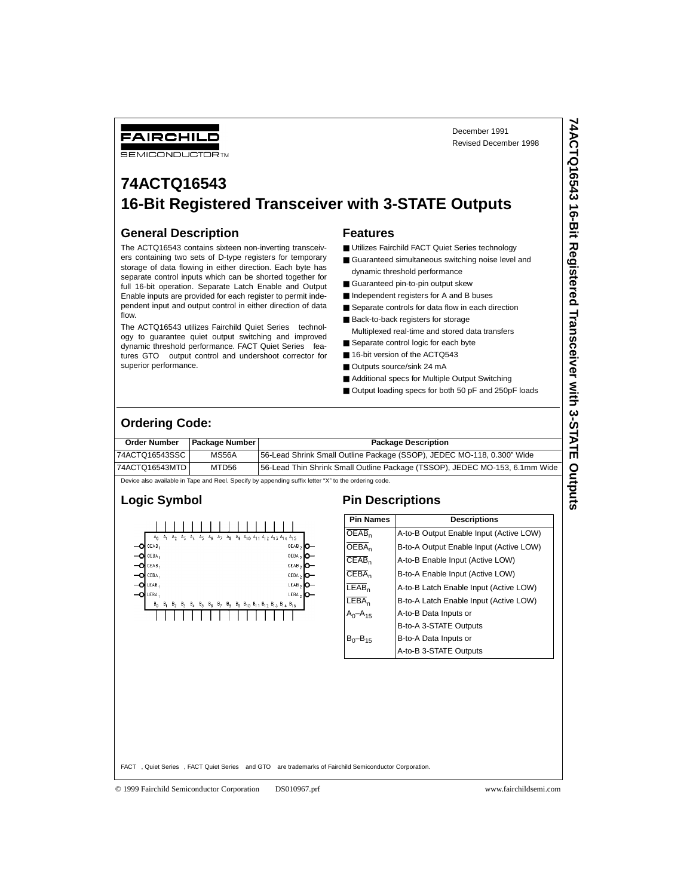December 1991 Revised December 1998

# **74ACTQ16543 16-Bit Registered Transceiver with 3-STATE Outputs**

#### **General Description**

FAIRCHILD **SEMICONDUCTOR IM** 

The ACTQ16543 contains sixteen non-inverting transceivers containing two sets of D-type registers for temporary storage of data flowing in either direction. Each byte has separate control inputs which can be shorted together for full 16-bit operation. Separate Latch Enable and Output Enable inputs are provided for each register to permit independent input and output control in either direction of data flow.

The ACTQ16543 utilizes Fairchild Quiet Series™ technology to guarantee quiet output switching and improved dynamic threshold performance. FACT Quiet Series<sup>™</sup> features GTO™ output control and undershoot corrector for superior performance.

#### **Features**

- Utilizes Fairchild FACT Quiet Series technology
- Guaranteed simultaneous switching noise level and dynamic threshold performance
- Guaranteed pin-to-pin output skew
- Independent registers for A and B buses
- Separate controls for data flow in each direction
- Back-to-back registers for storage
- Multiplexed real-time and stored data transfers
- Separate control logic for each byte
- 16-bit version of the ACTQ543
- Outputs source/sink 24 mA
- Additional specs for Multiple Output Switching
- Output loading specs for both 50 pF and 250pF loads

#### **Ordering Code:**

| <b>Order Number</b> | <b>Package Number I</b> | <b>Package Description</b>                                                  |
|---------------------|-------------------------|-----------------------------------------------------------------------------|
| 74ACTQ16543SSC      | MS56A                   | [56-Lead Shrink Small Outline Package (SSOP), JEDEC MO-118, 0.300" Wide     |
| 74ACTQ16543MTD      | MTD56                   | 56-Lead Thin Shrink Small Outline Package (TSSOP), JEDEC MO-153, 6.1mm Wide |

Device also available in Tape and Reel. Specify by appending suffix letter "X" to the ordering code.



| <b>Pin Names</b>        | <b>Descriptions</b>                     |
|-------------------------|-----------------------------------------|
| $\overline{\sf OEAB}_n$ | A-to-B Output Enable Input (Active LOW) |
| $\overline{\sf OEBA}_n$ | B-to-A Output Enable Input (Active LOW) |
| $CEAB_n$                | A-to-B Enable Input (Active LOW)        |
| $CEBA_n$                | B-to-A Enable Input (Active LOW)        |
| $LEAB_n$                | A-to-B Latch Enable Input (Active LOW)  |
| $LEBA_n$                | B-to-A Latch Enable Input (Active LOW)  |
| $A_0$ – $A_{15}$        | A-to-B Data Inputs or                   |
|                         | B-to-A 3-STATE Outputs                  |
| $B_0 - B_{15}$          | B-to-A Data Inputs or                   |
|                         | A-to-B 3-STATE Outputs                  |

FACT™, Quiet Series™, FACT Quiet Series™ and GTO™ are trademarks of Fairchild Semiconductor Corporation.

© 1999 Fairchild Semiconductor Corporation DS010967.prf www.fairchildsemi.com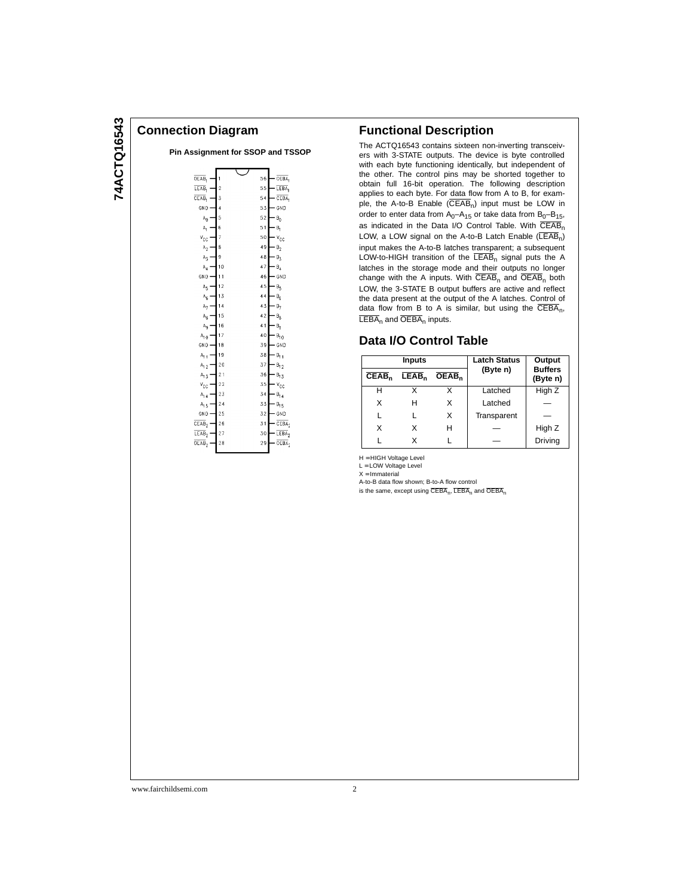#### **Connection Diagram**

| Pin Assignment for SSOP and TSSOP |  |  |
|-----------------------------------|--|--|
|                                   |  |  |

| OEAB.                      | 1              | 56 | OEBA,             |
|----------------------------|----------------|----|-------------------|
| LEAB,                      | $\overline{2}$ | 55 | LEBA,             |
| CEAB.                      | 3              | 54 | CEBA,             |
| GND-                       | $\overline{4}$ | 53 | GND               |
| Ą,                         | 5              | 52 | $B_0$             |
| A,                         | 6              | 51 | В,                |
| $v_{cc}$                   | 7              | 50 | $v_{cc}$          |
| $\mathbb{A}_2$             | 8              | 49 | $\mathsf{B}_2$    |
| $\mathbb{A}_3$             | 9              | 48 | $B_3$             |
| $\mathsf{A}_4$             | 10             | 47 | $B_4$             |
| GND                        | 11             | 46 | GND               |
| $A_5$                      | 12             | 45 | Βς                |
| ${\mathbb A}_6$            | 13             | 44 | $B_6$             |
| $\mathbb{A}_7$             | 14             | 43 | $B_7$             |
| $\mathsf{A}_8$             | 15             | 42 | $\mathsf{B}_8$    |
| A <sub>9</sub>             | 16             | 41 | $\mathsf{B}_{9}$  |
| $A_{1,0}$                  | 17             | 40 | $B_{10}$          |
| GND                        | 18             | 39 | GND               |
| $A_{1,1}$                  | 19             | 38 | B <sub>11</sub>   |
| $A_{1,2}$                  | 20             | 37 | $B_{12}$          |
| $A_{1,3}$                  | 21             | 36 | $B_{13}$          |
| $V_{CC}$                   | 22             | 35 | $v_{cc}$          |
| $A_{1,4}$                  | 23             | 34 | $B_{14}$          |
| $A_{1,5}$                  | 24             | 33 | $B_{15}$          |
| GND                        | 25             | 32 | GND               |
| CEAB <sub>2</sub>          | 26             | 31 | CEBA <sub>2</sub> |
| LEAB <sub>2</sub>          | 27             | 30 | $LEBA_2$          |
| $\overline{\text{OEAB}}_2$ | 28             | 29 | OEBA <sub>2</sub> |
|                            |                |    |                   |

#### **Functional Description**

The ACTQ16543 contains sixteen non-inverting transceivers with 3-STATE outputs. The device is byte controlled with each byte functioning identically, but independent of the other. The control pins may be shorted together to obtain full 16-bit operation. The following description applies to each byte. For data flow from A to B, for example, the A-to-B Enable  $(\overline{CEAB}_n)$  input must be LOW in order to enter data from  $A_0 - A_{15}$  or take data from  $B_0 - B_{15}$ , as indicated in the Data I/O Control Table. With  $\overline{\text{CEAB}}_n$ LOW, a LOW signal on the A-to-B Latch Enable  $(\overline{\mathsf{LEAB}}_n)$ input makes the A-to-B latches transparent; a subsequent LOW-to-HIGH transition of the  $\overline{\text{LEAB}}_{n}$  signal puts the A latches in the storage mode and their outputs no longer change with the A inputs. With  $\overline{CEAB}_n$  and  $\overline{OEAB}_n$  both LOW, the 3-STATE B output buffers are active and reflect the data present at the output of the A latches. Control of data flow from B to A is similar, but using the  $\overline{\text{CEBA}}_{n}$ ,  $LEBA_n$  and  $\overline{OEBA}_n$  inputs.

#### **Data I/O Control Table**

|                   | <b>Inputs</b>     |                   | <b>Latch Status</b> | Output                     |  |
|-------------------|-------------------|-------------------|---------------------|----------------------------|--|
| CEAB <sub>n</sub> | LEAB <sub>n</sub> | OEAB <sub>n</sub> | (Byte n)            | <b>Buffers</b><br>(Byte n) |  |
| н                 | x                 |                   | Latched             | High Z                     |  |
| X                 | н                 | X                 | Latched             |                            |  |
|                   |                   | X                 | Transparent         |                            |  |
| X                 | x                 | н                 |                     | High Z                     |  |
|                   | x                 |                   |                     | Driving                    |  |

H = HIGH Voltage Level

L = LOW Voltage Level  $X = Immaterial$ 

A-to-B data flow shown; B-to-A flow control

is the same, except using  $\overline{CEBA}_n$ ,  $\overline{LEBA}_n$  and  $\overline{OEBA}_n$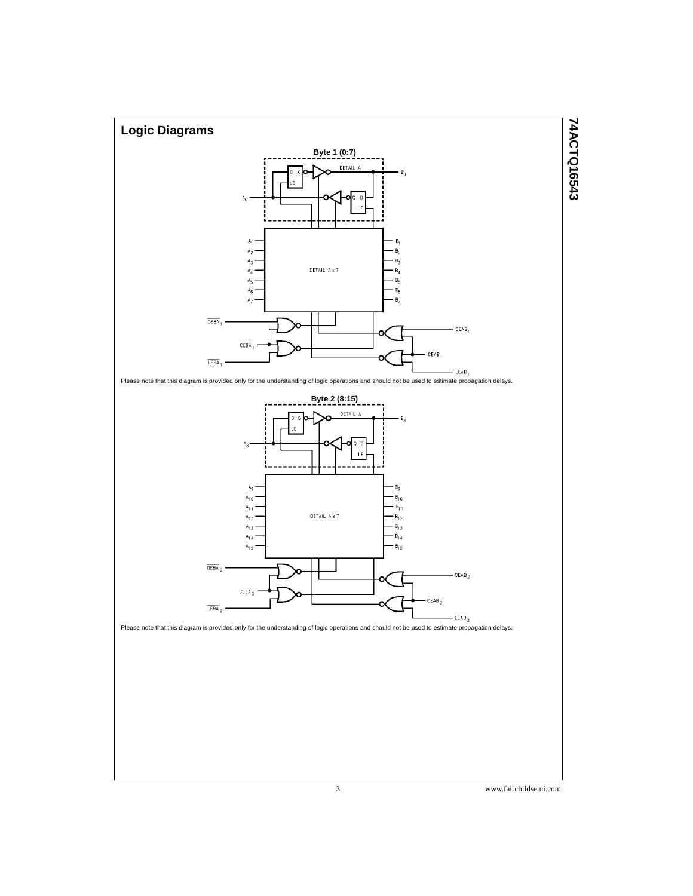

74ACTQ16543 **74ACTQ16543**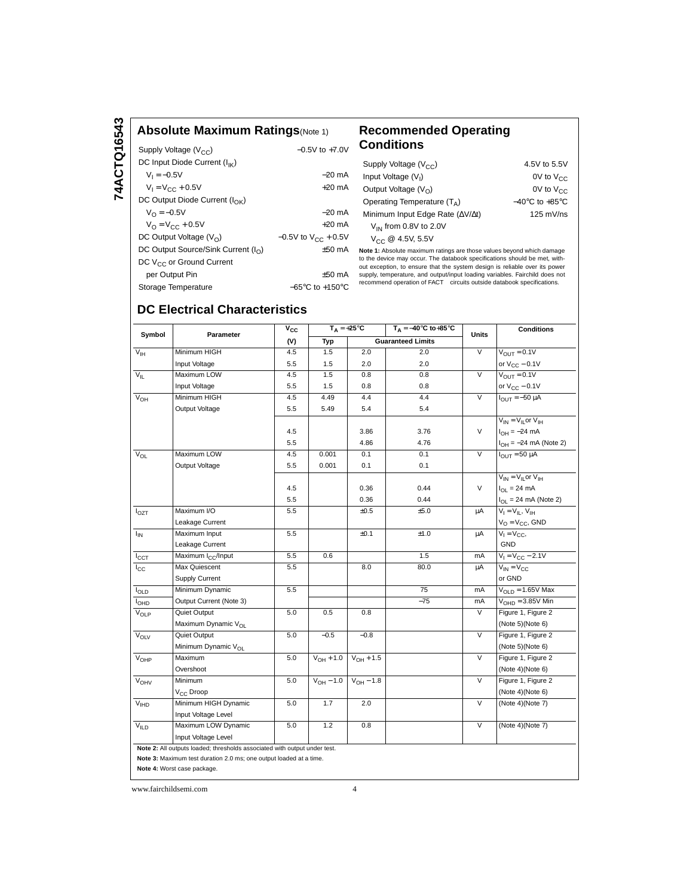#### **Absolute Maximum Ratings**(Note 1) **Recommended Operating**

| Supply Voltage $(V_{CC})$                  | $-0.5V$ to $+7.0V$                  |
|--------------------------------------------|-------------------------------------|
| DC Input Diode Current $(I_{IK})$          |                                     |
| $V_1 = -0.5V$                              | –20 mA                              |
| $V_1 = V_{CC} + 0.5V$                      | $+20$ mA                            |
| DC Output Diode Current $(I_{\cap K})$     |                                     |
| $V_{\Omega} = -0.5V$                       | $-20$ mA                            |
| $V_{\Omega} = V_{\Omega C} + 0.5V$         | $+20 \text{ mA}$                    |
| DC Output Voltage $(V0)$                   | $-0.5V$ to $V_{CC}$ + 0.5V          |
| DC Output Source/Sink Current $(I_{\cap})$ | $+50$ mA                            |
| DC V <sub>CC</sub> or Ground Current       |                                     |
| per Output Pin                             | +50 mA                              |
| Storage Temperature                        | $-65^{\circ}$ C to $+150^{\circ}$ C |
|                                            |                                     |

# **Conditions**

| Supply Voltage $(V_{CC})$                       | 4.5V to 5.5V                       |
|-------------------------------------------------|------------------------------------|
| Input Voltage (V <sub>1</sub> )                 | OV to $V_{CC}$                     |
| Output Voltage $(V_0)$                          | $0V$ to $V_{CC}$                   |
| Operating Temperature $(T_A)$                   | $-40^{\circ}$ C to $+85^{\circ}$ C |
| Minimum Input Edge Rate ( $\Delta V/\Delta t$ ) | $125$ mV/ns                        |
| $V_{IN}$ from 0.8V to 2.0V                      |                                    |
| $V_{CC}$ @ 4.5V, 5.5V                           |                                    |

**Note 1:** Absolute maximum ratings are those values beyond which damage to the device may occur. The databook specifications should be met, with-<br>out exception, to ensure that the system design is reliable over its power<br>supply, temperature, and output/input loading variables. Fairchild does

#### **DC Electrical Characteristics**

| Symbol           | Parameter                                                                 | $V_{CC}$ | $T_A = +25^{\circ}C$ |                               | $T_A = -40^\circ C$ to +85°C | <b>Units</b>            | <b>Conditions</b>             |
|------------------|---------------------------------------------------------------------------|----------|----------------------|-------------------------------|------------------------------|-------------------------|-------------------------------|
|                  |                                                                           | (V)      | Typ                  |                               | <b>Guaranteed Limits</b>     |                         |                               |
| $V_{\text{IH}}$  | Minimum HIGH                                                              | 4.5      | 1.5                  | 2.0                           | 2.0                          | $\overline{\vee}$       | $V_{OUT} = 0.1V$              |
|                  | Input Voltage                                                             | 5.5      | 1.5                  | 2.0                           | 2.0                          |                         | or $V_{CC}$ – 0.1V            |
| $V_{\text{II}}$  | Maximum LOW                                                               | 4.5      | 1.5                  | 0.8                           | 0.8                          | $\overline{\mathsf{v}}$ | $V_{OIII} = 0.1V$             |
|                  | Input Voltage                                                             | 5.5      | 1.5                  | 0.8                           | 0.8                          |                         | or $V_{CC}$ – 0.1V            |
| $V_{OH}$         | Minimum HIGH                                                              | 4.5      | 4.49                 | 4.4                           | 4.4                          | $\overline{\vee}$       | $I_{\text{OUT}} = -50 \mu A$  |
|                  | Output Voltage                                                            | 5.5      | 5.49                 | 5.4                           | 5.4                          |                         |                               |
|                  |                                                                           |          |                      |                               |                              |                         | $V_{IN} = V_{II}$ or $V_{IH}$ |
|                  |                                                                           | 4.5      |                      | 3.86                          | 3.76                         | $\vee$                  | $I_{OH} = -24 \text{ mA}$     |
|                  |                                                                           | 5.5      |                      | 4.86                          | 4.76                         |                         | $I_{OH} = -24$ mA (Note 2)    |
| $V_{OL}$         | Maximum LOW                                                               | 4.5      | 0.001                | 0.1                           | 0.1                          | V                       | $I_{OUT} = 50 \mu A$          |
|                  | Output Voltage                                                            | 5.5      | 0.001                | 0.1                           | 0.1                          |                         |                               |
|                  |                                                                           |          |                      |                               |                              |                         | $V_{IN} = V_{IL}$ or $V_{IH}$ |
|                  |                                                                           | 4.5      |                      | 0.36                          | 0.44                         | $\vee$                  | $I_{OL}$ = 24 mA              |
|                  |                                                                           | 5.5      |                      | 0.36                          | 0.44                         |                         | $I_{OL}$ = 24 mA (Note 2)     |
| $I_{OZT}$        | Maximum I/O                                                               | 5.5      |                      | ±0.5                          | ±5.0                         | μA                      | $V_I = V_{II}$ , $V_{IH}$     |
|                  | Leakage Current                                                           |          |                      |                               |                              |                         | $V_O = V_{CC}$ , GND          |
| $I_{\text{IN}}$  | Maximum Input                                                             | 5.5      |                      | ±0.1                          | ±1.0                         | μA                      | $V_1 = V_{CC}$                |
|                  | Leakage Current                                                           |          |                      |                               |                              |                         | <b>GND</b>                    |
| $I_{CCT}$        | Maximum I <sub>CC</sub> /Input                                            | 5.5      | 0.6                  |                               | 1.5                          | mA                      | $V_1 = V_{CC} - 2.1V$         |
| $I_{\rm CC}$     | Max Quiescent                                                             | 5.5      |                      | 8.0                           | 80.0                         | μA                      | $V_{IN} = V_{CC}$             |
|                  | Supply Current                                                            |          |                      |                               |                              |                         | or GND                        |
| $I_{OLD}$        | Minimum Dynamic                                                           | 5.5      |                      |                               | 75                           | mA                      | $V_{OLD} = 1.65V$ Max         |
| I <sub>OHD</sub> | Output Current (Note 3)                                                   |          |                      |                               | $-75$                        | mA                      | $VOHD = 3.85V$ Min            |
| $V_{OLP}$        | <b>Quiet Output</b>                                                       | 5.0      | 0.5                  | 0.8                           |                              | V                       | Figure 1, Figure 2            |
|                  | Maximum Dynamic V <sub>OL</sub>                                           |          |                      |                               |                              |                         | (Note 5)(Note 6)              |
| $V_{OLV}$        | Quiet Output                                                              | 5.0      | $-0.5$               | $-0.8$                        |                              | V                       | Figure 1, Figure 2            |
|                  | Minimum Dynamic V <sub>OL</sub>                                           |          |                      |                               |                              |                         | (Note 5)(Note 6)              |
| $V_{OHP}$        | Maximum                                                                   | 5.0      |                      | $V_{OH} + 1.0$ $V_{OH} + 1.5$ |                              | $\vee$                  | Figure 1, Figure 2            |
|                  | Overshoot                                                                 |          |                      |                               |                              |                         | (Note 4)(Note 6)              |
| V <sub>OHV</sub> | Minimum                                                                   | 5.0      |                      | $V_{OH} - 1.0$ $V_{OH} - 1.8$ |                              | $\overline{V}$          | Figure 1, Figure 2            |
|                  | V <sub>CC</sub> Droop                                                     |          |                      |                               |                              |                         | (Note 4)(Note 6)              |
| V <sub>H</sub> D | Minimum HIGH Dynamic                                                      | 5.0      | 1.7                  | 2.0                           |                              | $\overline{\mathsf{v}}$ | (Note 4)(Note 7)              |
|                  | Input Voltage Level                                                       |          |                      |                               |                              |                         |                               |
| V <sub>ILD</sub> | Maximum LOW Dynamic                                                       | 5.0      | 1.2                  | 0.8                           |                              | $\vee$                  | (Note 4)(Note 7)              |
|                  | Input Voltage Level                                                       |          |                      |                               |                              |                         |                               |
|                  | Note 2: All outputs loaded; thresholds associated with output under test. |          |                      |                               |                              |                         |                               |
|                  | Note 3: Maximum test duration 2.0 ms; one output loaded at a time.        |          |                      |                               |                              |                         |                               |

**Note 4:** Worst case package.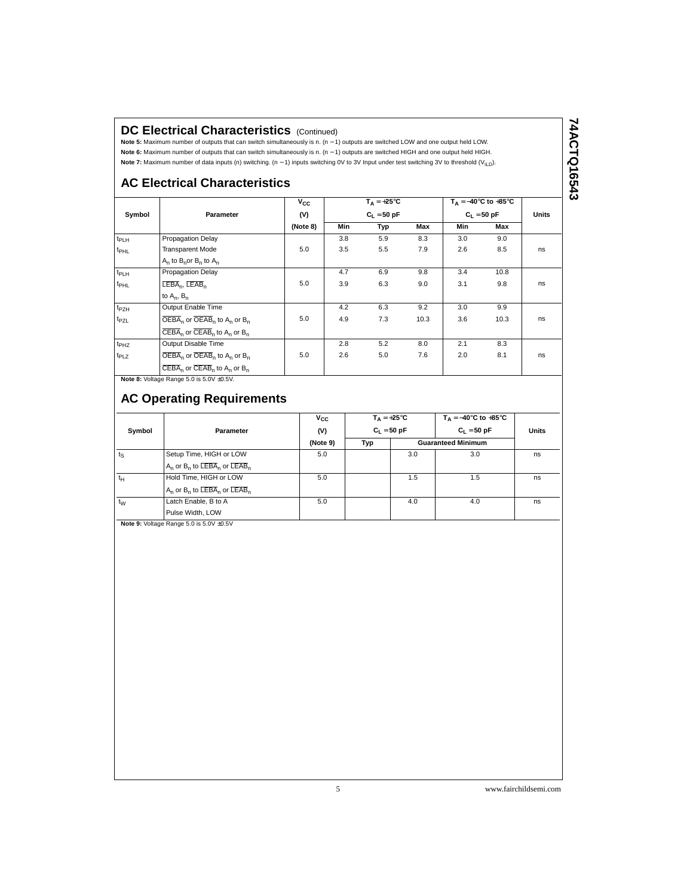#### **DC Electrical Characteristics (Continued)**

**Note 5:** Maximum number of outputs that can switch simultaneously is n. (n − 1) outputs are switched LOW and one output held LOW. **Note 6:** Maximum number of outputs that can switch simultaneously is n. (n − 1) outputs are switched HIGH and one output held HIGH. Note 7: Maximum number of data inputs (n) switching. (n - 1) inputs switching 0V to 3V Input under test switching 3V to threshold (V<sub>ILD</sub>).

### **AC Electrical Characteristics**

|                  |                                                                            | $v_{\rm cc}$ |               | $T_A = +25^{\circ}C$ |      |               | $T_A = -40^\circ \text{C}$ to $+85^\circ \text{C}$ |              |
|------------------|----------------------------------------------------------------------------|--------------|---------------|----------------------|------|---------------|----------------------------------------------------|--------------|
| Symbol           | Parameter                                                                  | (V)          | $C_1 = 50$ pF |                      |      | $C_1 = 50$ pF |                                                    | <b>Units</b> |
|                  |                                                                            | (Note 8)     | Min           | Typ                  | Max  | Min           | Max                                                |              |
| $t_{PLH}$        | Propagation Delay                                                          |              | 3.8           | 5.9                  | 8.3  | 3.0           | 9.0                                                |              |
| t <sub>PHL</sub> | <b>Transparent Mode</b>                                                    | 5.0          | 3.5           | 5.5                  | 7.9  | 2.6           | 8.5                                                | ns           |
|                  | $A_n$ to $B_n$ or $B_n$ to $A_n$                                           |              |               |                      |      |               |                                                    |              |
| t <sub>PLH</sub> | Propagation Delay                                                          |              | 4.7           | 6.9                  | 9.8  | 3.4           | 10.8                                               |              |
| t <sub>PHL</sub> | $LEBA_n$ , $LEAB_n$                                                        | 5.0          | 3.9           | 6.3                  | 9.0  | 3.1           | 9.8                                                | ns           |
|                  | to $A_n$ , $B_n$                                                           |              |               |                      |      |               |                                                    |              |
| $t_{PZH}$        | Output Enable Time                                                         |              | 4.2           | 6.3                  | 9.2  | 3.0           | 9.9                                                |              |
| t <sub>PZL</sub> | $\overline{\text{OEBA}}_n$ or $\overline{\text{OEBB}}_n$ to $A_n$ or $B_n$ | 5.0          | 4.9           | 7.3                  | 10.3 | 3.6           | 10.3                                               | ns           |
|                  | $\overline{\text{CEBA}}_n$ or $\overline{\text{CEAB}}_n$ to $A_n$ or $B_n$ |              |               |                      |      |               |                                                    |              |
| t <sub>PHZ</sub> | Output Disable Time                                                        |              | 2.8           | 5.2                  | 8.0  | 2.1           | 8.3                                                |              |
| t <sub>PLZ</sub> | $\overline{\text{OEBA}}_n$ or $\overline{\text{OEAB}}_n$ to $A_n$ or $B_n$ | 5.0          | 2.6           | 5.0                  | 7.6  | 2.0           | 8.1                                                | ns           |
|                  | $\overline{\text{CEBA}}_n$ or $\overline{\text{CEAB}}_n$ to $A_n$ or $B_n$ |              |               |                      |      |               |                                                    |              |

**Note 8: Voltage Range 5.0 is 5.0V**  $\pm$ **0.5V.** 

#### **AC Operating Requirements**

| Symbol      | Parameter                                                                      | $v_{\rm cc}$<br>(V) | $T_{\text{A}} = +25^{\circ}C$<br>$C_L = 50$ pF |     | $T_A = -40^{\circ}$ C to $+85^{\circ}$ C<br>$C_1 = 50 pF$ | Units |
|-------------|--------------------------------------------------------------------------------|---------------------|------------------------------------------------|-----|-----------------------------------------------------------|-------|
|             |                                                                                | (Note 9)            | Typ                                            |     | <b>Guaranteed Minimum</b>                                 |       |
| $t_{\rm S}$ | Setup Time, HIGH or LOW                                                        | 5.0                 |                                                | 3.0 | 3.0                                                       | ns    |
|             | $A_n$ or $B_n$ to $\overline{\mathsf{LEBA}}_n$ or $\overline{\mathsf{LEAB}}_n$ |                     |                                                |     |                                                           |       |
| $t_H$       | Hold Time, HIGH or LOW                                                         | 5.0                 |                                                | 1.5 | 1.5                                                       | ns    |
|             | $A_n$ or $B_n$ to $\overline{LEBA}_n$ or $\overline{LEAB}_n$                   |                     |                                                |     |                                                           |       |
| $t_W$       | Latch Enable, B to A                                                           | 5.0                 |                                                | 4.0 | 4.0                                                       | ns    |
|             | Pulse Width, LOW                                                               |                     |                                                |     |                                                           |       |

**Note 9:** Voltage Range 5.0 is 5.0V ±0.5V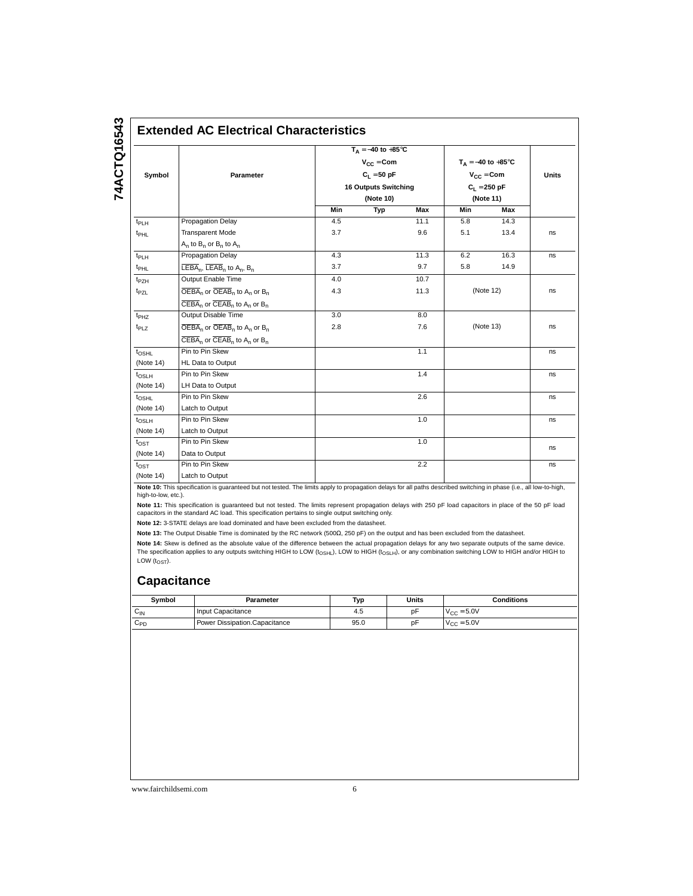# 74ACTQ16543 **74ACTQ16543**

## **Extended AC Electrical Characteristics**

|                   |                                                                                              |                              | $T_A = -40$ to $+85^{\circ}$ C |                |                                |           |              |
|-------------------|----------------------------------------------------------------------------------------------|------------------------------|--------------------------------|----------------|--------------------------------|-----------|--------------|
|                   |                                                                                              | $V_{\text{CC}} = \text{Com}$ |                                |                | $T_A = -40$ to $+85^{\circ}$ C |           |              |
| Symbol            | Parameter                                                                                    |                              | $C_1 = 50$ pF                  | $V_{CC} = Com$ |                                |           | <b>Units</b> |
|                   |                                                                                              |                              | <b>16 Outputs Switching</b>    |                | $C_1 = 250 pF$                 |           |              |
|                   |                                                                                              |                              | (Note 10)                      |                |                                | (Note 11) |              |
|                   |                                                                                              | Min                          | Typ                            | Max            | Min                            | Max       |              |
| $t_{PLH}$         | <b>Propagation Delay</b>                                                                     | 4.5                          |                                | 11.1           | 5.8                            | 14.3      |              |
| t <sub>PHL</sub>  | <b>Transparent Mode</b>                                                                      | 3.7                          |                                | 9.6            | 5.1                            | 13.4      | ns           |
|                   | $A_n$ to $B_n$ or $B_n$ to $A_n$                                                             |                              |                                |                |                                |           |              |
| $t_{PLH}$         | Propagation Delay                                                                            | 4.3                          |                                | 11.3           | 6.2                            | 16.3      | ns           |
| t <sub>PHL</sub>  | $LEBA_n$ , $LEAB_n$ to $A_n$ , $B_n$                                                         | 3.7                          |                                | 9.7            | 5.8                            | 14.9      |              |
| t <sub>PZH</sub>  | Output Enable Time                                                                           | 4.0                          |                                | 10.7           |                                |           |              |
| t <sub>PZL</sub>  | $\overline{\text{OEBA}}_n$ or $\overline{\text{OEBB}}_n$ to A <sub>n</sub> or B <sub>n</sub> | 4.3                          |                                | 11.3           |                                | (Note 12) | ns           |
|                   | $\overline{CEBA}_n$ or $\overline{CEAB}_n$ to A <sub>n</sub> or B <sub>n</sub>               |                              |                                |                |                                |           |              |
| t <sub>PHZ</sub>  | Output Disable Time                                                                          | 3.0                          |                                | 8.0            |                                |           |              |
| t <sub>PLZ</sub>  | $\overline{\text{OEBA}}_n$ or $\overline{\text{OEBB}}_n$ to A <sub>n</sub> or B <sub>n</sub> | 2.8                          |                                | 7.6            |                                | (Note 13) | ns           |
|                   | $\overline{\text{CEBA}}_n$ or $\overline{\text{CEAB}}_n$ to A <sub>n</sub> or B <sub>n</sub> |                              |                                |                |                                |           |              |
| $t_{\text{OSHL}}$ | Pin to Pin Skew                                                                              |                              |                                | 1.1            |                                |           | ns           |
| (Note 14)         | HL Data to Output                                                                            |                              |                                |                |                                |           |              |
| $t_{\text{OSLH}}$ | Pin to Pin Skew                                                                              |                              |                                | 1.4            |                                |           | ns           |
| (Note 14)         | LH Data to Output                                                                            |                              |                                |                |                                |           |              |
| $t_{\text{OSHL}}$ | Pin to Pin Skew                                                                              |                              |                                | 2.6            |                                |           | ns           |
| (Note 14)         | Latch to Output                                                                              |                              |                                |                |                                |           |              |
| t <sub>OSLH</sub> | Pin to Pin Skew                                                                              |                              |                                | 1.0            |                                |           | ns           |
| (Note 14)         | Latch to Output                                                                              |                              |                                |                |                                |           |              |
| $t_{\text{OST}}$  | Pin to Pin Skew                                                                              |                              |                                | 1.0            |                                |           | ns           |
| (Note 14)         | Data to Output                                                                               |                              |                                |                |                                |           |              |
| $t_{\text{OST}}$  | Pin to Pin Skew                                                                              |                              |                                | 2.2            |                                |           | ns           |
| (Note 14)         | Latch to Output                                                                              |                              |                                |                |                                |           |              |

**Note 10:** This specification is guaranteed but not tested. The limits apply to propagation delays for all paths described switching in phase (i.e., all low-to-high, high-to-low, etc.).

**Note 11:** This specification is guaranteed but not tested. The limits represent propagation delays with 250 pF load capacitors in place of the 50 pF load<br>capacitors in the standard AC load. This specification pertains to

**Note 12:** 3-STATE delays are load dominated and have been excluded from the datasheet.

**Note 13:** The Output Disable Time is dominated by the RC network (500Ω, 250 pF) on the output and has been excluded from the datasheet.

**Note 14:** Skew is defined as the absolute value of the difference between the actual propagation delays for any two separate outputs of the same device. The specification applies to any outputs switching HIGH to LOW (t<sub>OSHL</sub>), LOW to HIGH (t<sub>OSLH</sub>), or any combination switching LOW to HIGH and/or HIGH to LOW  $(t_{\text{OST}})$ .

#### **Capacitance**

| Symbol | Parameter                     | Typ  | Units | Conditions             |
|--------|-------------------------------|------|-------|------------------------|
| ∨∣N    | Input Capacitance             | 4.5  | p۲    | $V_{\text{CC}} = 5.0V$ |
| UPD    | Power Dissipation.Capacitance | 95.0 | рF    | $V_{\text{CC}} = 5.0V$ |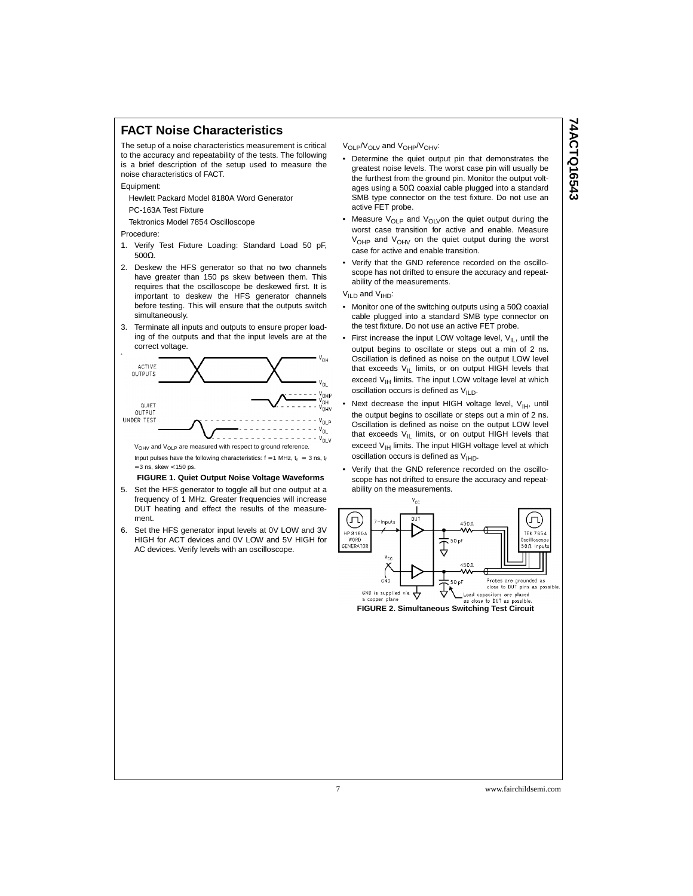#### **FACT Noise Characteristics**

The setup of a noise characteristics measurement is critical to the accuracy and repeatability of the tests. The following is a brief description of the setup used to measure the noise characteristics of FACT.

Equipment:

Hewlett Packard Model 8180A Word Generator

PC-163A Test Fixture

Tektronics Model 7854 Oscilloscope

Procedure:

- 1. Verify Test Fixture Loading: Standard Load 50 pF, 500Ω.
- 2. Deskew the HFS generator so that no two channels have greater than 150 ps skew between them. This requires that the oscilloscope be deskewed first. It is important to deskew the HFS generator channels before testing. This will ensure that the outputs switch simultaneously.
- 3. Terminate all inputs and outputs to ensure proper loading of the outputs and that the input levels are at the correct voltage.



Input pulses have the following characteristics:  $f = 1$  MHz,  $t_r = 3$  ns,  $t_f$  $= 3$  ns, skew  $< 150$  ps.

#### **FIGURE 1. Quiet Output Noise Voltage Waveforms**

- 5. Set the HFS generator to toggle all but one output at a frequency of 1 MHz. Greater frequencies will increase DUT heating and effect the results of the measurement.
- 6. Set the HFS generator input levels at 0V LOW and 3V HIGH for ACT devices and 0V LOW and 5V HIGH for AC devices. Verify levels with an oscilloscope.

#### V<sub>OLP</sub>/V<sub>OLV</sub> and V<sub>OHP</sub>/V<sub>OHV</sub>:

- Determine the quiet output pin that demonstrates the greatest noise levels. The worst case pin will usually be the furthest from the ground pin. Monitor the output voltages using a 50Ω coaxial cable plugged into a standard SMB type connector on the test fixture. Do not use an active FET probe.
- Measure  $V_{OLP}$  and  $V_{OLV}$ on the quiet output during the worst case transition for active and enable. Measure  $V_{OHP}$  and  $V_{OHV}$  on the quiet output during the worst case for active and enable transition.
- Verify that the GND reference recorded on the oscilloscope has not drifted to ensure the accuracy and repeatability of the measurements.
- V<sub>ILD</sub> and V<sub>IHD</sub>:
- Monitor one of the switching outputs using a 50Ω coaxial cable plugged into a standard SMB type connector on the test fixture. Do not use an active FET probe.
- First increase the input LOW voltage level,  $V_{I L}$ , until the output begins to oscillate or steps out a min of 2 ns. Oscillation is defined as noise on the output LOW level that exceeds  $V_{|L}$  limits, or on output HIGH levels that exceed  $V_{\text{IH}}$  limits. The input LOW voltage level at which oscillation occurs is defined as  $V_{\mathsf{ILD}}$ .
- Next decrease the input HIGH voltage level,  $V_{IH}$ , until the output begins to oscillate or steps out a min of 2 ns. Oscillation is defined as noise on the output LOW level that exceeds  $V_{IL}$  limits, or on output HIGH levels that exceed  $V_{\text{IH}}$  limits. The input HIGH voltage level at which oscillation occurs is defined as  $V_{\text{HID}}$ .
- Verify that the GND reference recorded on the oscilloscope has not drifted to ensure the accuracy and repeatability on the measurements.



**FIGURE 2. Simultaneous Switching Test Circuit**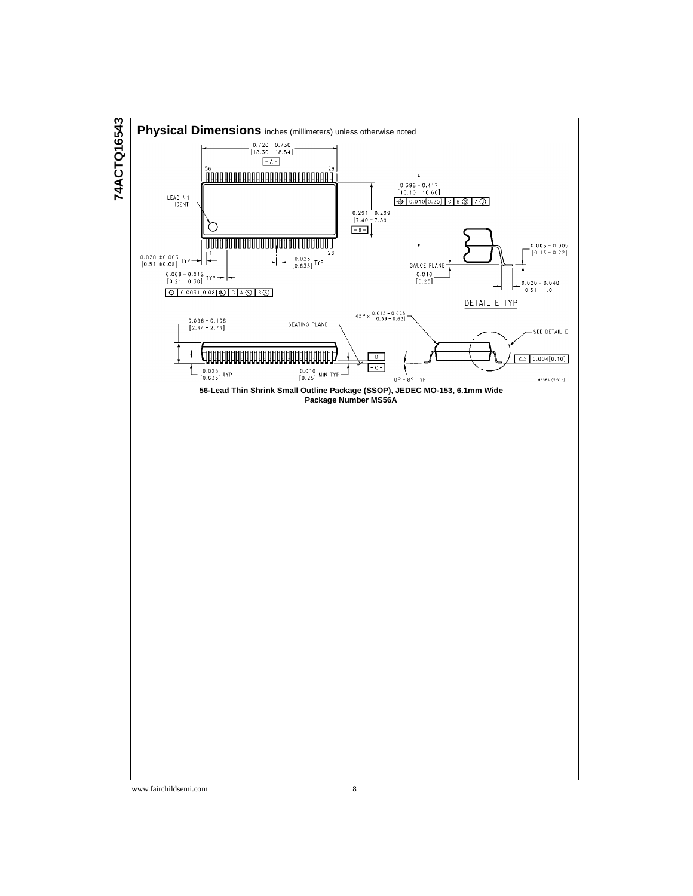